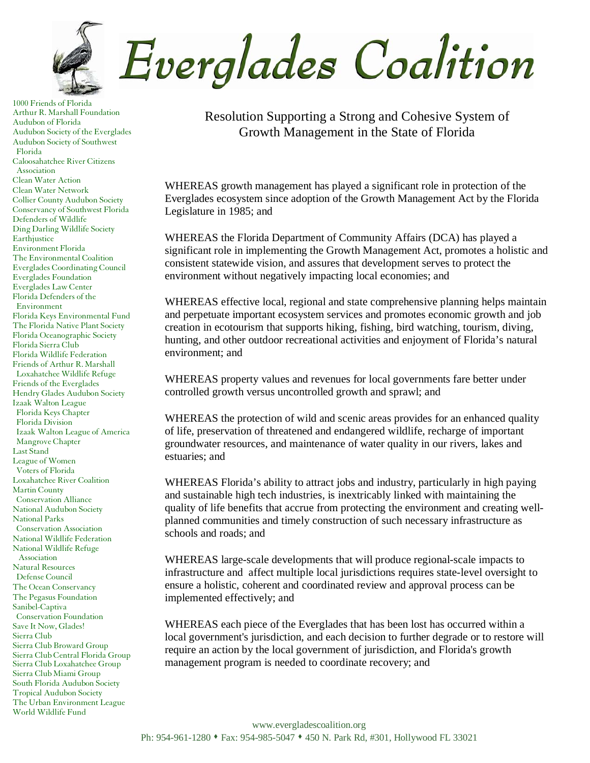![](_page_0_Picture_0.jpeg)

1000 Friends of Florida Arthur R. Marshall Foundation Audubon of Florida Audubon Society of the Everglades Audubon Society of Southwest Florida Caloosahatchee River Citizens Association Clean Water Action Clean Water Network Collier County Audubon Society Conservancy of Southwest Florida Defenders of Wildlife Ding Darling Wildlife Society **Earthjustice** Environment Florida The Environmental Coalition Everglades Coordinating Council Everglades Foundation Everglades Law Center Florida Defenders of the Environment Florida Keys Environmental Fund The Florida Native Plant Society Florida Oceanographic Society Florida Sierra Club Florida Wildlife Federation Friends of Arthur R. Marshall Loxahatchee Wildlife Refuge Friends of the Everglades Hendry Glades Audubon Society Izaak Walton League Florida Keys Chapter Florida Division Izaak Walton League of America Mangrove Chapter Last Stand League of Women Voters of Florida Loxahatchee River Coalition Martin County Conservation Alliance National Audubon Society National Parks Conservation Association National Wildlife Federation National Wildlife Refuge Association Natural Resources Defense Council The Ocean Conservancy The Pegasus Foundation Sanibel-Captiva Conservation Foundation Save It Now, Glades! Sierra Club Sierra Club Broward Group Sierra Club Central Florida Group Sierra Club Loxahatchee Group Sierra Club Miami Group South Florida Audubon Society Tropical Audubon Society The Urban Environment League World Wildlife Fund

Resolution Supporting a Strong and Cohesive System of Growth Management in the State of Florida

WHEREAS growth management has played a significant role in protection of the Everglades ecosystem since adoption of the Growth Management Act by the Florida Legislature in 1985; and

WHEREAS the Florida Department of Community Affairs (DCA) has played a significant role in implementing the Growth Management Act, promotes a holistic and consistent statewide vision, and assures that development serves to protect the environment without negatively impacting local economies; and

WHEREAS effective local, regional and state comprehensive planning helps maintain and perpetuate important ecosystem services and promotes economic growth and job creation in ecotourism that supports hiking, fishing, bird watching, tourism, diving, hunting, and other outdoor recreational activities and enjoyment of Florida's natural environment; and

WHEREAS property values and revenues for local governments fare better under controlled growth versus uncontrolled growth and sprawl; and

WHEREAS the protection of wild and scenic areas provides for an enhanced quality of life, preservation of threatened and endangered wildlife, recharge of important groundwater resources, and maintenance of water quality in our rivers, lakes and estuaries; and

WHEREAS Florida's ability to attract jobs and industry, particularly in high paying and sustainable high tech industries, is inextricably linked with maintaining the quality of life benefits that accrue from protecting the environment and creating wellplanned communities and timely construction of such necessary infrastructure as schools and roads; and

WHEREAS large-scale developments that will produce regional-scale impacts to infrastructure and affect multiple local jurisdictions requires state-level oversight to ensure a holistic, coherent and coordinated review and approval process can be implemented effectively; and

WHEREAS each piece of the Everglades that has been lost has occurred within a local government's jurisdiction, and each decision to further degrade or to restore will require an action by the local government of jurisdiction, and Florida's growth management program is needed to coordinate recovery; and